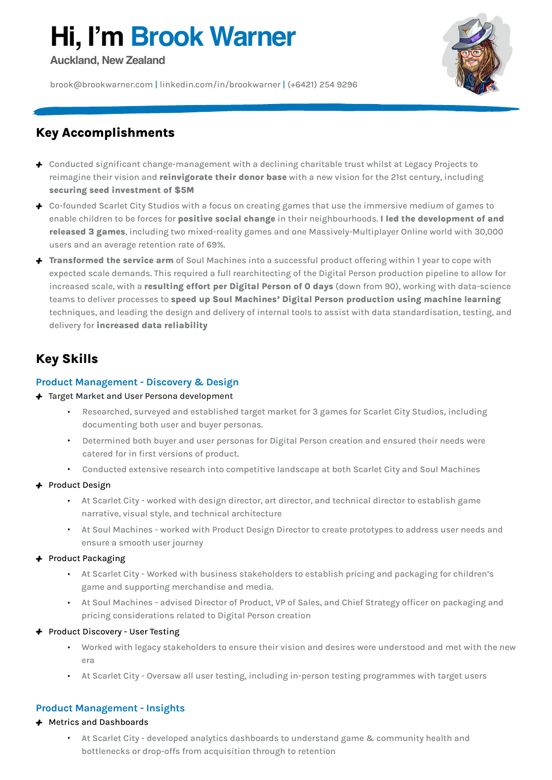# **Hi, I'm Brook Warner**

**Auckland, New Zealand**

[brook@brookwarner.com](mailto:brook@brookwarner.com) | [linkedin.com/in/brookwarner](http://linkedin.com/in/brookwarner) | (+6421) 254 9296



# **Key Accomplishments**

- + Conducted significant change-management with a declining charitable trust whilst at Legacy Projects to reimagine their vision and **reinvigorate their donor base** with a new vision for the 21st century, including **securing seed investment of \$5M**
- + Co-founded Scarlet City Studios with a focus on creating games that use the immersive medium of games to enable children to be forces for **positive social change** in their neighbourhoods. **I led the development of and released 3 games**, including two mixed-reality games and one Massively-Multiplayer Online world with 30,000 users and an average retention rate of 69%.
- + **Transformed the service arm** of Soul Machines into a successful product offering within 1 year to cope with expected scale demands. This required a full rearchitecting of the Digital Person production pipeline to allow for increased scale, with a **resulting effort per Digital Person of 0 days** (down from 90), working with data-science teams to deliver processes to **speed up Soul Machines' Digital Person production using machine learning** techniques, and leading the design and delivery of internal tools to assist with data standardisation, testing, and delivery for **increased data reliability**

# **Key Skills**

#### **Product Management - Discovery & Design**

#### + Target Market and User Persona development

- Researched, surveyed and established target market for 3 games for Scarlet City Studios, including documenting both user and buyer personas.
- Determined both buyer and user personas for Digital Person creation and ensured their needs were catered for in first versions of product.
- Conducted extensive research into competitive landscape at both Scarlet City and Soul Machines

#### + Product Design

- At Scarlet City worked with design director, art director, and technical director to establish game narrative, visual style, and technical architecture
- At Soul Machines worked with Product Design Director to create prototypes to address user needs and ensure a smooth user journey

#### + Product Packaging

- At Scarlet City Worked with business stakeholders to establish pricing and packaging for children's game and supporting merchandise and media.
- At Soul Machines advised Director of Product, VP of Sales, and Chief Strategy officer on packaging and pricing considerations related to Digital Person creation

#### + Product Discovery - User Testing

- Worked with legacy stakeholders to ensure their vision and desires were understood and met with the new era
- At Scarlet City Oversaw all user testing, including in-person testing programmes with target users

#### **Product Management - Insights**

#### + Metrics and Dashboards

• At Scarlet City - developed analytics dashboards to understand game & community health and bottlenecks or drop-offs from acquisition through to retention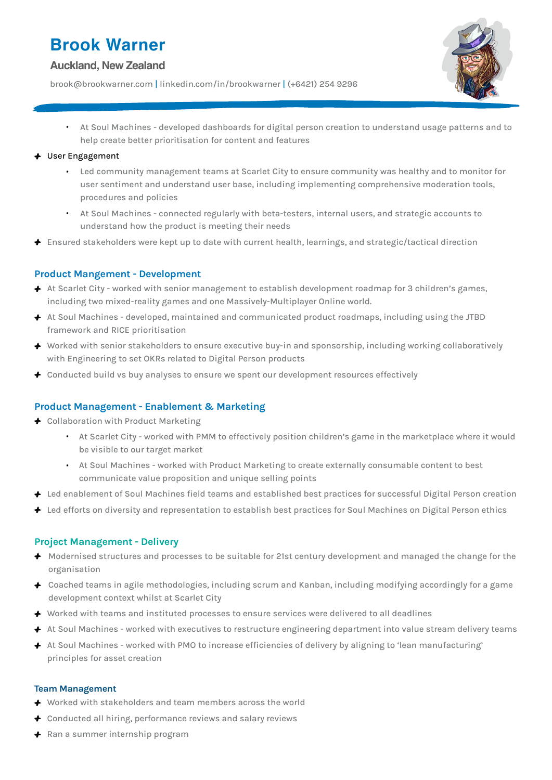# **Brook Warner**

#### **Auckland, New Zealand**

[brook@brookwarner.com](mailto:brook@brookwarner.com) | [linkedin.com/in/brookwarner](http://linkedin.com/in/brookwarner) | (+6421) 254 9296



• At Soul Machines - developed dashboards for digital person creation to understand usage patterns and to help create better prioritisation for content and features

#### + User Engagement

- Led community management teams at Scarlet City to ensure community was healthy and to monitor for user sentiment and understand user base, including implementing comprehensive moderation tools, procedures and policies
- At Soul Machines connected regularly with beta-testers, internal users, and strategic accounts to understand how the product is meeting their needs
- $+$  Ensured stakeholders were kept up to date with current health, learnings, and strategic/tactical direction

#### **Product Mangement - Development**

- + At Scarlet City worked with senior management to establish development roadmap for 3 children's games, including two mixed-reality games and one Massively-Multiplayer Online world.
- + At Soul Machines developed, maintained and communicated product roadmaps, including using the JTBD framework and RICE prioritisation
- + Worked with senior stakeholders to ensure executive buy-in and sponsorship, including working collaboratively with Engineering to set OKRs related to Digital Person products
- $\div$  Conducted build vs buy analyses to ensure we spent our development resources effectively

#### **Product Management - Enablement & Marketing**

- + Collaboration with Product Marketing
	- At Scarlet City worked with PMM to effectively position children's game in the marketplace where it would be visible to our target market
	- At Soul Machines worked with Product Marketing to create externally consumable content to best communicate value proposition and unique selling points
- + Led enablement of Soul Machines field teams and established best practices for successful Digital Person creation
- + Led efforts on diversity and representation to establish best practices for Soul Machines on Digital Person ethics

#### **Project Management - Delivery**

- + Modernised structures and processes to be suitable for 21st century development and managed the change for the organisation
- + Coached teams in agile methodologies, including scrum and Kanban, including modifying accordingly for a game development context whilst at Scarlet City
- + Worked with teams and instituted processes to ensure services were delivered to all deadlines
- + At Soul Machines worked with executives to restructure engineering department into value stream delivery teams
- + At Soul Machines worked with PMO to increase efficiencies of delivery by aligning to 'lean manufacturing' principles for asset creation

#### **Team Management**

- + Worked with stakeholders and team members across the world
- $\triangle$  Conducted all hiring, performance reviews and salary reviews
- + Ran a summer internship program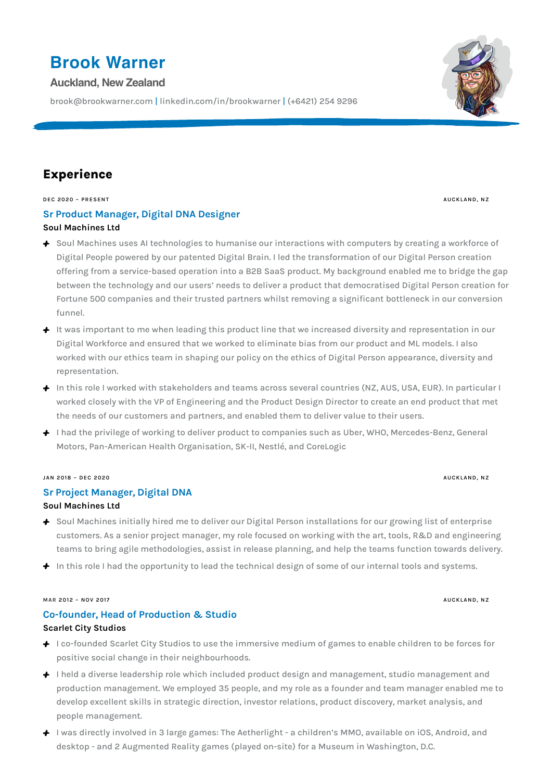# **Brook Warner**

#### **Auckland, New Zealand**

[brook@brookwarner.com](mailto:brook@brookwarner.com) | [linkedin.com/in/brookwarner](http://linkedin.com/in/brookwarner) | (+6421) 254 9296

# **Experience**

**DEC 2020 – PRESENT AUCKLAND, NZ**

#### **Sr Product Manager, Digital DNA Designer [Soul Machines Ltd](https://soulmachines.com)**

- + Soul Machines uses AI technologies to humanise our interactions with computers by creating a workforce of Digital People powered by our patented Digital Brain. I led the transformation of our Digital Person creation offering from a service-based operation into a B2B SaaS product. My background enabled me to bridge the gap between the technology and our users' needs to deliver a product that democratised Digital Person creation for Fortune 500 companies and their trusted partners whilst removing a significant bottleneck in our conversion funnel.
- + It was important to me when leading this product line that we increased diversity and representation in our Digital Workforce and ensured that we worked to eliminate bias from our product and ML models. I also worked with our ethics team in shaping our policy on the ethics of Digital Person appearance, diversity and representation.
- + In this role I worked with stakeholders and teams across several countries (NZ, AUS, USA, EUR). In particular I worked closely with the VP of Engineering and the Product Design Director to create an end product that met the needs of our customers and partners, and enabled them to deliver value to their users.
- + I had the privilege of working to deliver product to companies such as Uber, WHO, Mercedes-Benz, General Motors, Pan-American Health Organisation, SK-II, Nestlé, and CoreLogic

#### **JAN 2018 – DEC 2020 AUCKLAND, NZ**

#### **Sr Project Manager, Digital DNA**

#### **[Soul Machines Ltd](https://soulmachines.com)**

- + Soul Machines initially hired me to deliver our Digital Person installations for our growing list of enterprise customers. As a senior project manager, my role focused on working with the art, tools, R&D and engineering teams to bring agile methodologies, assist in release planning, and help the teams function towards delivery.
- + In this role I had the opportunity to lead the technical design of some of our internal tools and systems.

#### MAR 2012 – NOV 2017 **AUGKLAND, NZ**

#### **Co-founder, Head of Production & Studio**

#### **Scarlet City Studios**

- + I co-founded Scarlet City Studios to use the immersive medium of games to enable children to be forces for positive social change in their neighbourhoods.
- + I held a diverse leadership role which included product design and management, studio management and production management. We employed 35 people, and my role as a founder and team manager enabled me to develop excellent skills in strategic direction, investor relations, product discovery, market analysis, and people management.
- + I was directly involved in 3 large games: The Aetherlight a children's MMO, available on iOS, Android, and desktop - and 2 Augmented Reality games (played on-site) for a Museum in Washington, D.C.